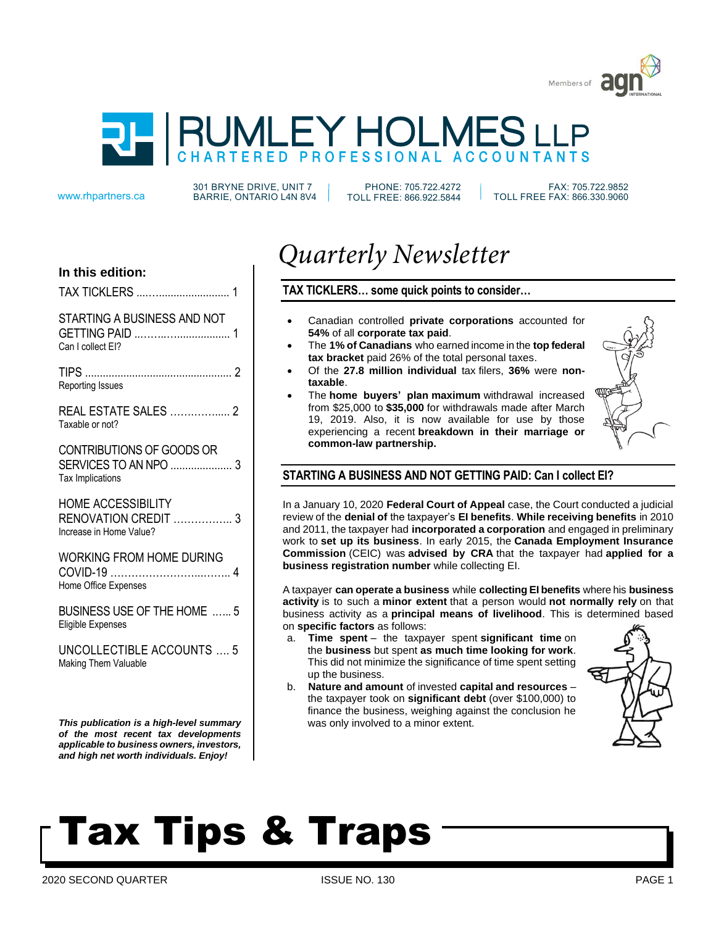



301 BRYNE DRIVE, UNIT 7 www.rhpartners.ca BARRIE, ONTARIO L4N 8V4

PHONE: 705.722.4272 TOLL FREE: 866.922.5844

 FAX: 705.722.9852 TOLL FREE FAX: 866.330.9060

# **In this edition:**

| TAX TICKLERS |  |  |  |
|--------------|--|--|--|
|--------------|--|--|--|

# STARTING A BUSINESS AND NOT GETTING PAID ..……..….................. 1

Can I collect EI?

TIPS .................................................. 2 Reporting Issues

REAL ESTATE SALES …….……..... 2 Taxable or not?

# CONTRIBUTIONS OF GOODS OR SERVICES TO AN NPO ..................... 3 Tax Implications

HOME ACCESSIBILITY RENOVATION CREDIT …………….. 3 Increase in Home Value?

WORKING FROM HOME DURING COVID-19 ……………………...…….. 4 Home Office Expenses

BUSINESS USE OF THE HOME .….. 5 Eligible Expenses

UNCOLLECTIBLE ACCOUNTS …. 5 Making Them Valuable

*This publication is a high-level summary of the most recent tax developments applicable to business owners, investors, and high net worth individuals. Enjoy!*

# *Quarterly Newsletter*

# **TAX TICKLERS… some quick points to consider…**

- Canadian controlled **private corporations** accounted for **54%** of all **corporate tax paid**.
- The **1% of Canadians** who earned income in the **top federal tax bracket** paid 26% of the total personal taxes.
- Of the **27.8 million individual** tax filers, **36%** were **nontaxable**.
- The **home buyers' plan maximum** withdrawal increased from \$25,000 to **\$35,000** for withdrawals made after March 19, 2019. Also, it is now available for use by those experiencing a recent **breakdown in their marriage or common-law partnership.**



# **STARTING A BUSINESS AND NOT GETTING PAID: Can I collect EI?**

In a January 10, 2020 **Federal Court of Appeal** case, the Court conducted a judicial review of the **denial of** the taxpayer's **EI benefits**. **While receiving benefits** in 2010 and 2011, the taxpayer had **incorporated a corporation** and engaged in preliminary work to **set up its business**. In early 2015, the **Canada Employment Insurance Commission** (CEIC) was **advised by CRA** that the taxpayer had **applied for a business registration number** while collecting EI.

A taxpayer **can operate a business** while **collecting EI benefits** where his **business activity** is to such a **minor extent** that a person would **not normally rely** on that business activity as a **principal means of livelihood**. This is determined based on **specific factors** as follows:

- a. **Time spent** the taxpayer spent **significant time** on the **business** but spent **as much time looking for work**. This did not minimize the significance of time spent setting up the business.
- b. **Nature and amount** of invested **capital and resources** the taxpayer took on **significant debt** (over \$100,000) to finance the business, weighing against the conclusion he was only involved to a minor extent.



# Tax Tips & Traps

2020 SECOND QUARTER THE RELEASE OF STREET ISSUE NO. 130 PAGE 1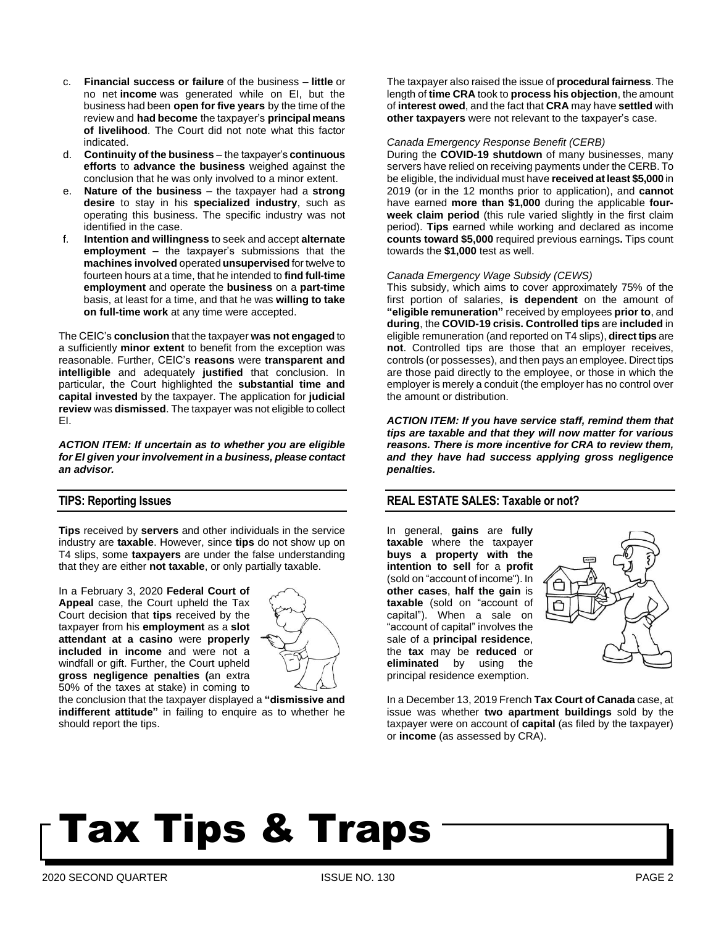- c. **Financial success or failure** of the business **little** or no net **income** was generated while on EI, but the business had been **open for five years** by the time of the review and **had become** the taxpayer's **principal means of livelihood**. The Court did not note what this factor indicated.
- d. **Continuity of the business** the taxpayer's **continuous efforts** to **advance the business** weighed against the conclusion that he was only involved to a minor extent.
- e. **Nature of the business** the taxpayer had a **strong desire** to stay in his **specialized industry**, such as operating this business. The specific industry was not identified in the case.
- f. **Intention and willingness** to seek and accept **alternate employment** – the taxpayer's submissions that the **machines involved** operated **unsupervised** for twelve to fourteen hours at a time, that he intended to **find full-time employment** and operate the **business** on a **part-time** basis, at least for a time, and that he was **willing to take on full-time work** at any time were accepted.

The CEIC's **conclusion** that the taxpayer **was not engaged** to a sufficiently **minor extent** to benefit from the exception was reasonable. Further, CEIC's **reasons** were **transparent and intelligible** and adequately **justified** that conclusion. In particular, the Court highlighted the **substantial time and capital invested** by the taxpayer. The application for **judicial review** was **dismissed**. The taxpayer was not eligible to collect EI.

*ACTION ITEM: If uncertain as to whether you are eligible for EI given your involvement in a business, please contact an advisor.*

### **TIPS: Reporting Issues**

**Tips** received by **servers** and other individuals in the service industry are **taxable**. However, since **tips** do not show up on T4 slips, some **taxpayers** are under the false understanding that they are either **not taxable**, or only partially taxable.

In a February 3, 2020 **Federal Court of Appeal** case, the Court upheld the Tax Court decision that **tips** received by the taxpayer from his **employment** as a **slot attendant at a casino** were **properly included in income** and were not a windfall or gift. Further, the Court upheld **gross negligence penalties (**an extra 50% of the taxes at stake) in coming to



the conclusion that the taxpayer displayed a **"dismissive and indifferent attitude"** in failing to enquire as to whether he should report the tips.

The taxpayer also raised the issue of **procedural fairness**. The length of **time CRA** took to **process his objection**, the amount of **interest owed**, and the fact that **CRA** may have **settled** with **other taxpayers** were not relevant to the taxpayer's case.

#### *Canada Emergency Response Benefit (CERB)*

During the **COVID-19 shutdown** of many businesses, many servers have relied on receiving payments under the CERB. To be eligible, the individual must have **received at least \$5,000** in 2019 (or in the 12 months prior to application), and **cannot** have earned **more than \$1,000** during the applicable **fourweek claim period** (this rule varied slightly in the first claim period). **Tips** earned while working and declared as income **counts toward \$5,000** required previous earnings**.** Tips count towards the **\$1,000** test as well.

#### *Canada Emergency Wage Subsidy (CEWS)*

This subsidy, which aims to cover approximately 75% of the first portion of salaries, **is dependent** on the amount of **"eligible remuneration"** received by employees **prior to**, and **during**, the **COVID-19 crisis. Controlled tips** are **included** in eligible remuneration (and reported on T4 slips), **direct tips** are **not**. Controlled tips are those that an employer receives, controls (or possesses), and then pays an employee. Direct tips are those paid directly to the employee, or those in which the employer is merely a conduit (the employer has no control over the amount or distribution.

*ACTION ITEM: If you have service staff, remind them that tips are taxable and that they will now matter for various reasons. There is more incentive for CRA to review them, and they have had success applying gross negligence penalties.*

### **REAL ESTATE SALES: Taxable or not?**

In general, **gains** are **fully taxable** where the taxpayer **buys a property with the intention to sell** for a **profit** (sold on "account of income"). In **other cases**, **half the gain** is **taxable** (sold on "account of capital"). When a sale on "account of capital" involves the sale of a **principal residence**, the **tax** may be **reduced** or **eliminated** by using the principal residence exemption.



In a December 13, 2019 French **Tax Court of Canada** case, at issue was whether **two apartment buildings** sold by the taxpayer were on account of **capital** (as filed by the taxpayer) or **income** (as assessed by CRA).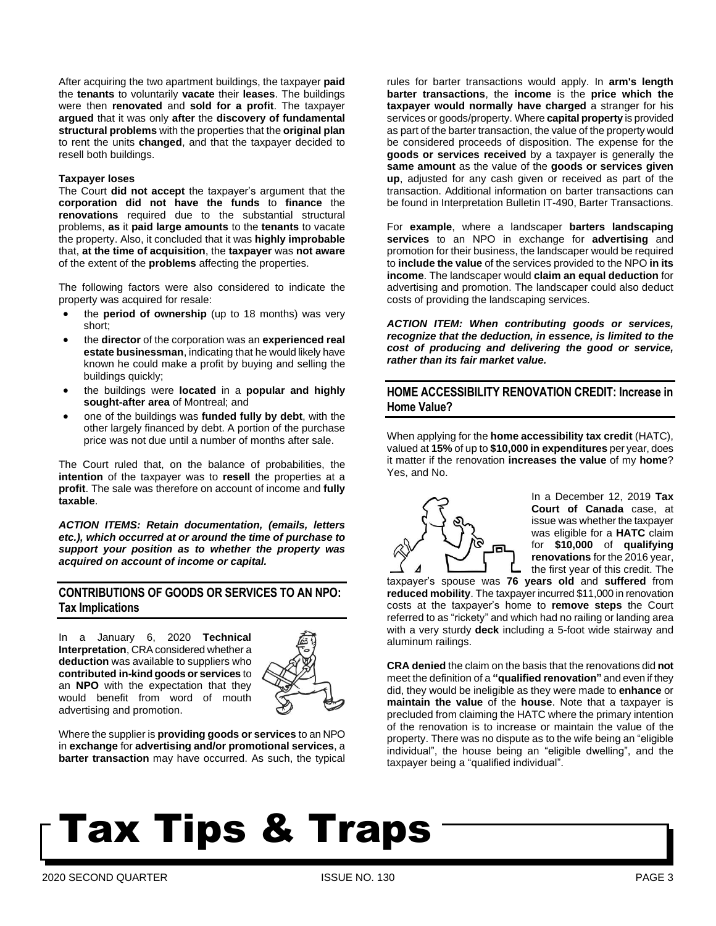After acquiring the two apartment buildings, the taxpayer **paid** the **tenants** to voluntarily **vacate** their **leases**. The buildings were then **renovated** and **sold for a profit**. The taxpayer **argued** that it was only **after** the **discovery of fundamental structural problems** with the properties that the **original plan** to rent the units **changed**, and that the taxpayer decided to resell both buildings.

#### **Taxpayer loses**

The Court **did not accept** the taxpayer's argument that the **corporation did not have the funds** to **finance** the **renovations** required due to the substantial structural problems, **as** it **paid large amounts** to the **tenants** to vacate the property. Also, it concluded that it was **highly improbable** that, **at the time of acquisition**, the **taxpayer** was **not aware** of the extent of the **problems** affecting the properties.

The following factors were also considered to indicate the property was acquired for resale:

- the **period of ownership** (up to 18 months) was very short;
- the **director** of the corporation was an **experienced real estate businessman**, indicating that he would likely have known he could make a profit by buying and selling the buildings quickly;
- the buildings were **located** in a **popular and highly sought-after area** of Montreal; and
- one of the buildings was **funded fully by debt**, with the other largely financed by debt. A portion of the purchase price was not due until a number of months after sale.

The Court ruled that, on the balance of probabilities, the **intention** of the taxpayer was to **resell** the properties at a **profit**. The sale was therefore on account of income and **fully taxable**.

*ACTION ITEMS: Retain documentation, (emails, letters etc.), which occurred at or around the time of purchase to support your position as to whether the property was acquired on account of income or capital.*

### **CONTRIBUTIONS OF GOODS OR SERVICES TO AN NPO: Tax Implications**

In a January 6, 2020 **Technical Interpretation**, CRA considered whether a **deduction** was available to suppliers who **contributed in-kind goods or services** to an **NPO** with the expectation that they would benefit from word of mouth advertising and promotion.



Where the supplier is **providing goods or services** to an NPO in **exchange** for **advertising and/or promotional services**, a **barter transaction** may have occurred. As such, the typical

rules for barter transactions would apply. In **arm's length barter transactions**, the **income** is the **price which the taxpayer would normally have charged** a stranger for his services or goods/property. Where **capital property** is provided as part of the barter transaction, the value of the property would be considered proceeds of disposition. The expense for the **goods or services received** by a taxpayer is generally the **same amount** as the value of the **goods or services given up**, adjusted for any cash given or received as part of the transaction. Additional information on barter transactions can be found in Interpretation Bulletin IT-490, Barter Transactions.

For **example**, where a landscaper **barters landscaping services** to an NPO in exchange for **advertising** and promotion for their business, the landscaper would be required to **include the value** of the services provided to the NPO **in its income**. The landscaper would **claim an equal deduction** for advertising and promotion. The landscaper could also deduct costs of providing the landscaping services.

*ACTION ITEM: When contributing goods or services, recognize that the deduction, in essence, is limited to the cost of producing and delivering the good or service, rather than its fair market value.*

# **HOME ACCESSIBILITY RENOVATION CREDIT: Increase in Home Value?**

When applying for the **home accessibility tax credit** (HATC), valued at **15%** of up to **\$10,000 in expenditures** per year, does it matter if the renovation **increases the value** of my **home**? Yes, and No.



In a December 12, 2019 **Tax Court of Canada** case, at issue was whether the taxpayer was eligible for a **HATC** claim for **\$10,000** of **qualifying renovations** for the 2016 year, the first year of this credit. The

taxpayer's spouse was **76 years old** and **suffered** from **reduced mobility**. The taxpayer incurred \$11,000 in renovation costs at the taxpayer's home to **remove steps** the Court referred to as "rickety" and which had no railing or landing area with a very sturdy **deck** including a 5-foot wide stairway and aluminum railings.

**CRA denied** the claim on the basis that the renovations did **not** meet the definition of a **"qualified renovation"** and even if they did, they would be ineligible as they were made to **enhance** or **maintain the value** of the **house**. Note that a taxpayer is precluded from claiming the HATC where the primary intention of the renovation is to increase or maintain the value of the property. There was no dispute as to the wife being an "eligible individual", the house being an "eligible dwelling", and the taxpayer being a "qualified individual".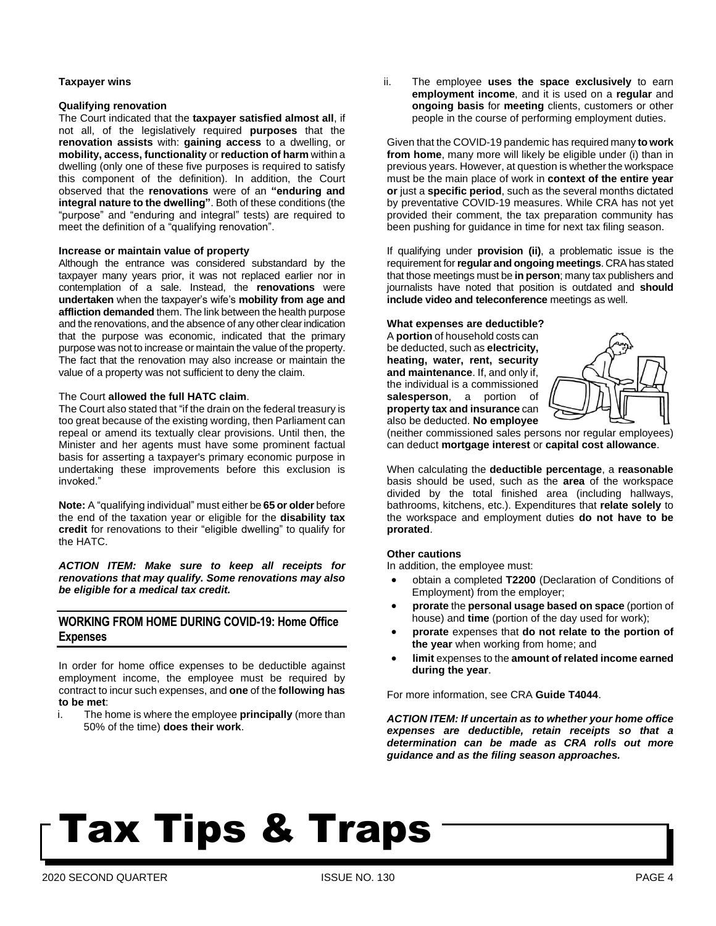#### **Taxpayer wins**

#### **Qualifying renovation**

The Court indicated that the **taxpayer satisfied almost all**, if not all, of the legislatively required **purposes** that the **renovation assists** with: **gaining access** to a dwelling, or **mobility, access, functionality** or **reduction of harm** within a dwelling (only one of these five purposes is required to satisfy this component of the definition). In addition, the Court observed that the **renovations** were of an **"enduring and integral nature to the dwelling"**. Both of these conditions (the "purpose" and "enduring and integral" tests) are required to meet the definition of a "qualifying renovation".

#### **Increase or maintain value of property**

Although the entrance was considered substandard by the taxpayer many years prior, it was not replaced earlier nor in contemplation of a sale. Instead, the **renovations** were **undertaken** when the taxpayer's wife's **mobility from age and affliction demanded** them. The link between the health purpose and the renovations, and the absence of any other clearindication that the purpose was economic, indicated that the primary purpose was not to increase or maintain the value of the property. The fact that the renovation may also increase or maintain the value of a property was not sufficient to deny the claim.

#### The Court **allowed the full HATC claim**.

The Court also stated that "if the drain on the federal treasury is too great because of the existing wording, then Parliament can repeal or amend its textually clear provisions. Until then, the Minister and her agents must have some prominent factual basis for asserting a taxpayer's primary economic purpose in undertaking these improvements before this exclusion is invoked."

**Note:** A "qualifying individual" must either be **65 or older** before the end of the taxation year or eligible for the **disability tax credit** for renovations to their "eligible dwelling" to qualify for the HATC.

*ACTION ITEM: Make sure to keep all receipts for renovations that may qualify. Some renovations may also be eligible for a medical tax credit.*

## **WORKING FROM HOME DURING COVID-19: Home Office Expenses**

In order for home office expenses to be deductible against employment income, the employee must be required by contract to incur such expenses, and **one** of the **following has to be met**:

i. The home is where the employee **principally** (more than 50% of the time) **does their work**.

ii. The employee **uses the space exclusively** to earn **employment income**, and it is used on a **regular** and **ongoing basis** for **meeting** clients, customers or other people in the course of performing employment duties.

Given that the COVID-19 pandemic has required many **to work from home**, many more will likely be eligible under (i) than in previous years. However, at question is whether the workspace must be the main place of work in **context of the entire year or** just a **specific period**, such as the several months dictated by preventative COVID-19 measures. While CRA has not yet provided their comment, the tax preparation community has been pushing for guidance in time for next tax filing season.

If qualifying under **provision (ii)**, a problematic issue is the requirement for**regular and ongoing meetings**. CRAhas stated that those meetings must be **in person**; many tax publishers and journalists have noted that position is outdated and **should include video and teleconference** meetings as well.

#### **What expenses are deductible?**

A **portion** of household costs can be deducted, such as **electricity, heating, water, rent, security and maintenance**. If, and only if, the individual is a commissioned **salesperson**, a portion of **property tax and insurance** can also be deducted. **No employee**



(neither commissioned sales persons nor regular employees) can deduct **mortgage interest** or **capital cost allowance**.

When calculating the **deductible percentage**, a **reasonable** basis should be used, such as the **area** of the workspace divided by the total finished area (including hallways, bathrooms, kitchens, etc.). Expenditures that **relate solely** to the workspace and employment duties **do not have to be prorated**.

#### **Other cautions**

In addition, the employee must:

- obtain a completed **T2200** (Declaration of Conditions of Employment) from the employer;
- **prorate** the **personal usage based on space** (portion of house) and **time** (portion of the day used for work);
- **prorate** expenses that **do not relate to the portion of the year** when working from home; and
- **limit** expenses to the **amount of related income earned during the year**.

For more information, see CRA **Guide T4044**.

*ACTION ITEM: If uncertain as to whether your home office expenses are deductible, retain receipts so that a determination can be made as CRA rolls out more guidance and as the filing season approaches.*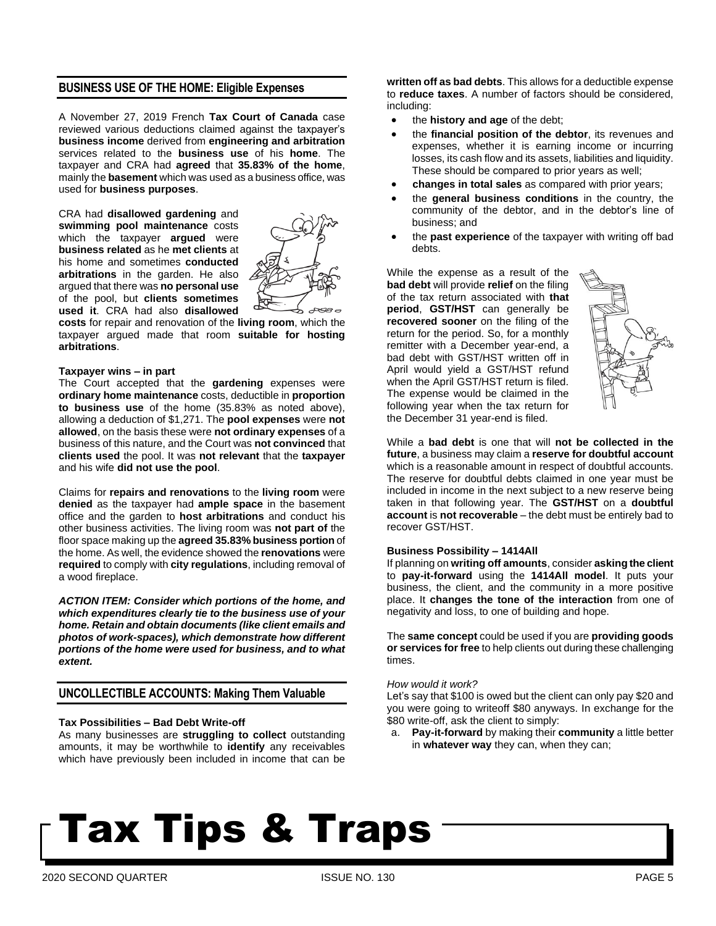### **BUSINESS USE OF THE HOME: Eligible Expenses**

A November 27, 2019 French **Tax Court of Canada** case reviewed various deductions claimed against the taxpayer's **business income** derived from **engineering and arbitration** services related to the **business use** of his **home**. The taxpayer and CRA had **agreed** that **35.83% of the home**, mainly the **basement** which was used as a business office, was used for **business purposes**.

CRA had **disallowed gardening** and **swimming pool maintenance** costs which the taxpayer **argued** were **business related** as he **met clients** at his home and sometimes **conducted arbitrations** in the garden. He also argued that there was **no personal use** of the pool, but **clients sometimes used it**. CRA had also **disallowed**



**costs** for repair and renovation of the **living room**, which the taxpayer argued made that room **suitable for hosting arbitrations**.

#### **Taxpayer wins – in part**

The Court accepted that the **gardening** expenses were **ordinary home maintenance** costs, deductible in **proportion to business use** of the home (35.83% as noted above), allowing a deduction of \$1,271. The **pool expenses** were **not allowed**, on the basis these were **not ordinary expenses** of a business of this nature, and the Court was **not convinced** that **clients used** the pool. It was **not relevant** that the **taxpayer** and his wife **did not use the pool**.

Claims for **repairs and renovations** to the **living room** were **denied** as the taxpayer had **ample space** in the basement office and the garden to **host arbitrations** and conduct his other business activities. The living room was **not part of** the floor space making up the **agreed 35.83% business portion** of the home. As well, the evidence showed the **renovations** were **required** to comply with **city regulations**, including removal of a wood fireplace.

*ACTION ITEM: Consider which portions of the home, and which expenditures clearly tie to the business use of your home. Retain and obtain documents (like client emails and photos of work-spaces), which demonstrate how different portions of the home were used for business, and to what extent.*

### **UNCOLLECTIBLE ACCOUNTS: Making Them Valuable**

#### **Tax Possibilities – Bad Debt Write-off**

As many businesses are **struggling to collect** outstanding amounts, it may be worthwhile to **identify** any receivables which have previously been included in income that can be **written off as bad debts**. This allows for a deductible expense to **reduce taxes**. A number of factors should be considered, including:

- the **history and age** of the debt;
- the **financial position of the debtor**, its revenues and expenses, whether it is earning income or incurring losses, its cash flow and its assets, liabilities and liquidity. These should be compared to prior years as well;
- **changes in total sales** as compared with prior years;
- the **general business conditions** in the country, the community of the debtor, and in the debtor's line of business; and
- the **past experience** of the taxpayer with writing off bad debts.

While the expense as a result of the **bad debt** will provide **relief** on the filing of the tax return associated with **that period**, **GST/HST** can generally be **recovered sooner** on the filing of the return for the period. So, for a monthly remitter with a December year-end, a bad debt with GST/HST written off in April would yield a GST/HST refund when the April GST/HST return is filed. The expense would be claimed in the following year when the tax return for the December 31 year-end is filed.



While a **bad debt** is one that will **not be collected in the future**, a business may claim a **reserve for doubtful account** which is a reasonable amount in respect of doubtful accounts. The reserve for doubtful debts claimed in one year must be included in income in the next subject to a new reserve being taken in that following year. The **GST/HST** on a **doubtful account** is **not recoverable** – the debt must be entirely bad to recover GST/HST.

#### **Business Possibility – 1414All**

If planning on **writing off amounts**, consider **asking the client** to **pay-it-forward** using the **1414All model**. It puts your business, the client, and the community in a more positive place. It **changes the tone of the interaction** from one of negativity and loss, to one of building and hope.

The **same concept** could be used if you are **providing goods or services for free** to help clients out during these challenging times.

#### *How would it work?*

Let's say that \$100 is owed but the client can only pay \$20 and you were going to writeoff \$80 anyways. In exchange for the \$80 write-off, ask the client to simply:

a. **Pay-it-forward** by making their **community** a little better in **whatever way** they can, when they can;